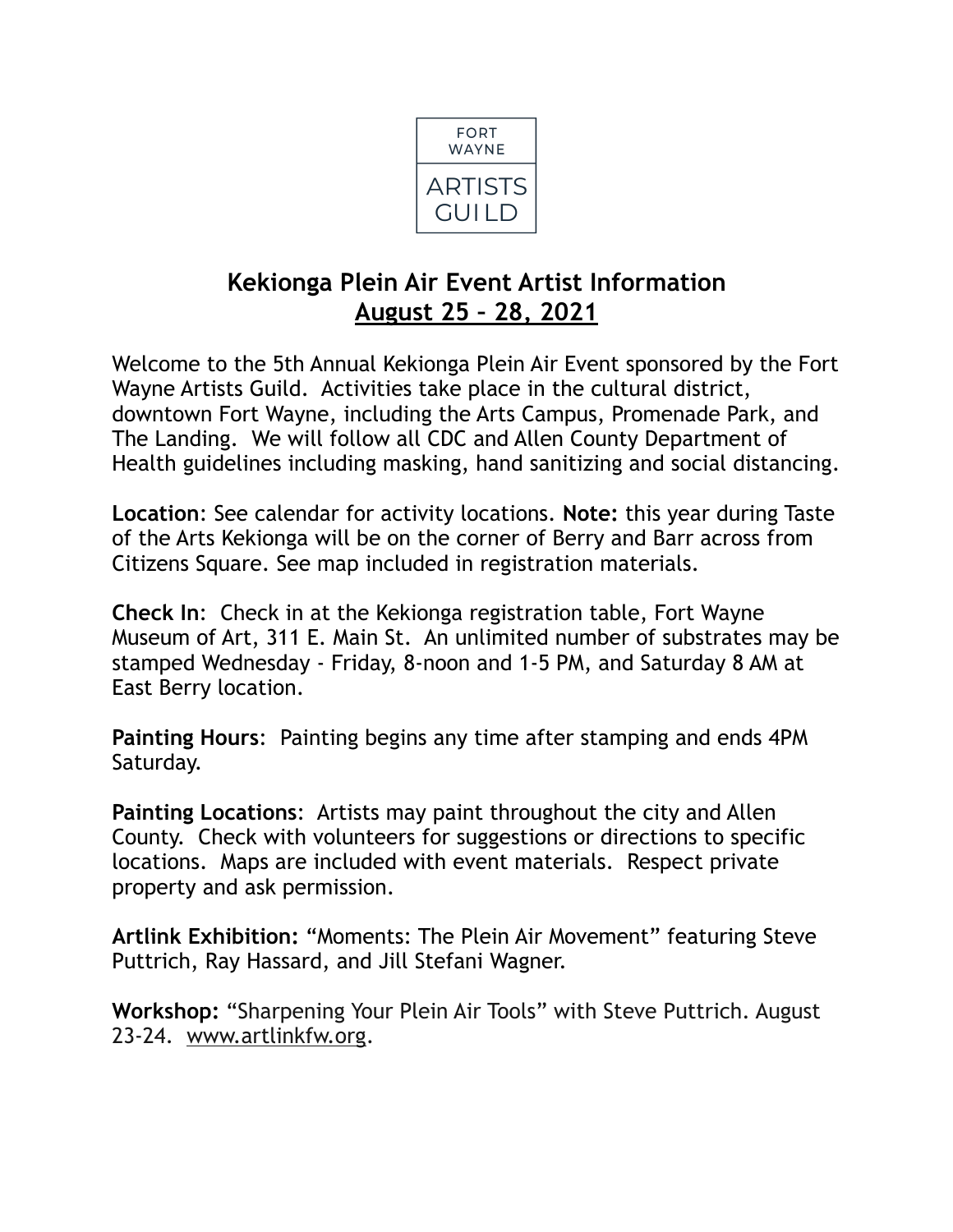

# **Kekionga Plein Air Event Artist Information August 25 – 28, 2021**

Welcome to the 5th Annual Kekionga Plein Air Event sponsored by the Fort Wayne Artists Guild. Activities take place in the cultural district, downtown Fort Wayne, including the Arts Campus, Promenade Park, and The Landing. We will follow all CDC and Allen County Department of Health guidelines including masking, hand sanitizing and social distancing.

**Location**: See calendar for activity locations. **Note:** this year during Taste of the Arts Kekionga will be on the corner of Berry and Barr across from Citizens Square. See map included in registration materials.

**Check In**: Check in at the Kekionga registration table, Fort Wayne Museum of Art, 311 E. Main St. An unlimited number of substrates may be stamped Wednesday - Friday, 8-noon and 1-5 PM, and Saturday 8 AM at East Berry location.

**Painting Hours**: Painting begins any time after stamping and ends 4PM Saturday.

**Painting Locations**: Artists may paint throughout the city and Allen County. Check with volunteers for suggestions or directions to specific locations. Maps are included with event materials. Respect private property and ask permission.

**Artlink Exhibition:** "Moments: The Plein Air Movement" featuring Steve Puttrich, Ray Hassard, and Jill Stefani Wagner.

**Workshop:** "Sharpening Your Plein Air Tools" with Steve Puttrich. August 23-24. [www.artlinkfw.org](http://www.artlinkfw.org).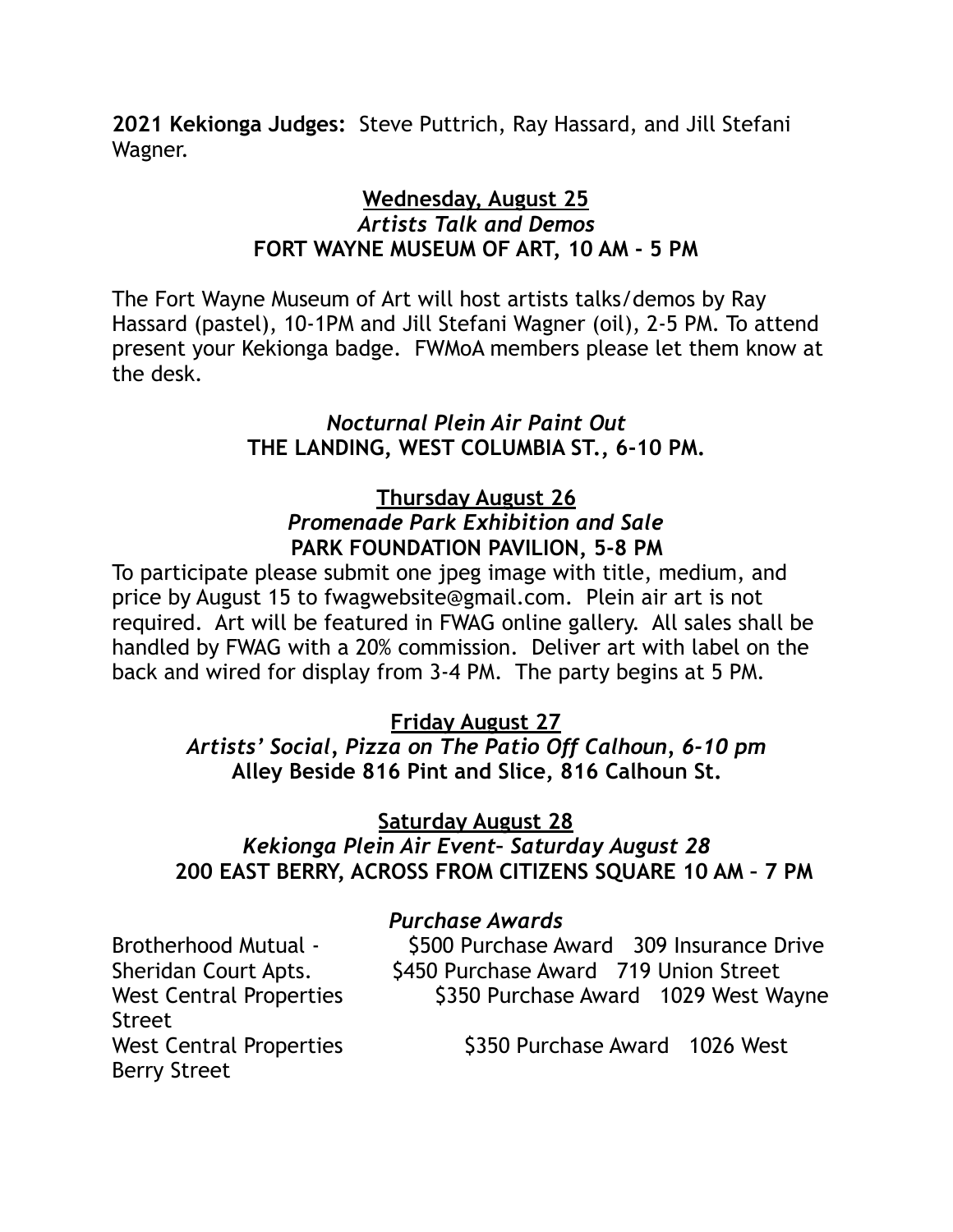**2021 Kekionga Judges:** Steve Puttrich, Ray Hassard, and Jill Stefani Wagner.

## **Wednesday, August 25**  *Artists Talk and Demos*  **FORT WAYNE MUSEUM OF ART, 10 AM - 5 PM**

The Fort Wayne Museum of Art will host artists talks/demos by Ray Hassard (pastel), 10-1PM and Jill Stefani Wagner (oil), 2-5 PM. To attend present your Kekionga badge. FWMoA members please let them know at the desk.

## *Nocturnal Plein Air Paint Out*  **THE LANDING, WEST COLUMBIA ST., 6-10 PM.**

#### **Thursday August 26**  *Promenade Park Exhibition and Sale*  **PARK FOUNDATION PAVILION, 5-8 PM**

To participate please submit one jpeg image with title, medium, and price by August 15 to fwagwebsite@gmail.com. Plein air art is not required. Art will be featured in FWAG online gallery. All sales shall be handled by FWAG with a 20% commission. Deliver art with label on the back and wired for display from 3-4 PM. The party begins at 5 PM.

## **Friday August 27**

### *Artists' Social, Pizza on The Patio Off Calhoun, 6-10 pm*  **Alley Beside 816 Pint and Slice, 816 Calhoun St.**

## **Saturday August 28**

## *Kekionga Plein Air Event– Saturday August 28*   **200 EAST BERRY, ACROSS FROM CITIZENS SQUARE 10 AM – 7 PM**

#### *Purchase Awards*

Street Berry Street

Brotherhood Mutual - \$500 Purchase Award 309 Insurance Drive Sheridan Court Apts. \$450 Purchase Award 719 Union Street West Central Properties  $\frac{1}{3350}$  Purchase Award 1029 West Wayne

West Central Properties  $\frac{1}{2}$  \$350 Purchase Award 1026 West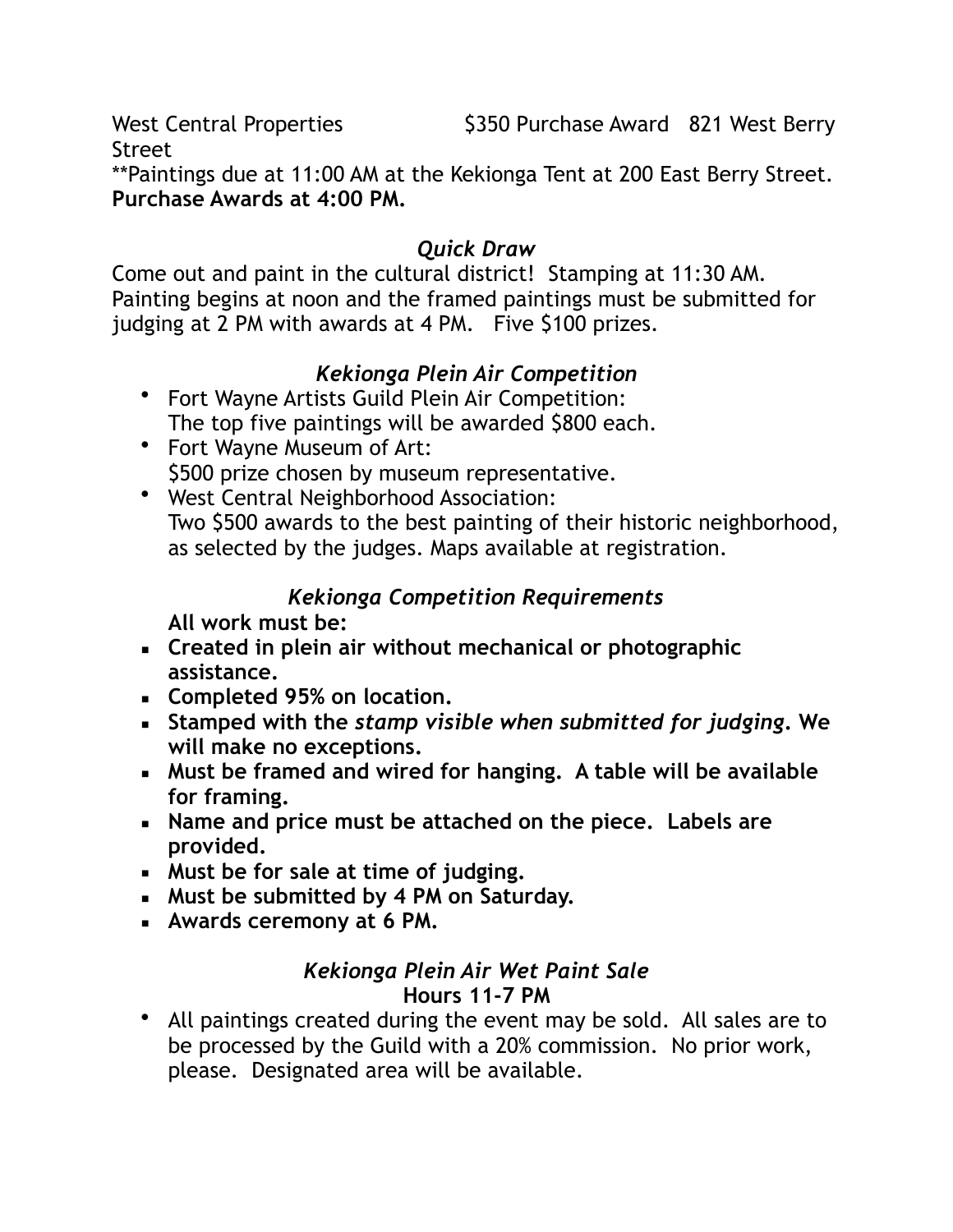Street

\*\*Paintings due at 11:00 AM at the Kekionga Tent at 200 East Berry Street. **Purchase Awards at 4:00 PM.**

## *Quick Draw*

Come out and paint in the cultural district! Stamping at 11:30 AM. Painting begins at noon and the framed paintings must be submitted for judging at 2 PM with awards at 4 PM. Five \$100 prizes.

# *Kekionga Plein Air Competition*

- Fort Wayne Artists Guild Plein Air Competition: The top five paintings will be awarded \$800 each.
- Fort Wayne Museum of Art: \$500 prize chosen by museum representative.
- West Central Neighborhood Association: Two \$500 awards to the best painting of their historic neighborhood, as selected by the judges. Maps available at registration.

# *Kekionga Competition Requirements*

**All work must be:** 

- **Created in plein air without mechanical or photographic assistance.**
- **Completed 95% on location.**
- **Stamped with the** *stamp visible when submitted for judging***. We will make no exceptions.**
- **Must be framed and wired for hanging. A table will be available for framing.**
- **Name and price must be attached on the piece. Labels are provided.**
- **Must be for sale at time of judging.**
- **Must be submitted by 4 PM on Saturday.**
- **Awards ceremony at 6 PM.**

## *Kekionga Plein Air Wet Paint Sale*  **Hours 11-7 PM**

• All paintings created during the event may be sold. All sales are to be processed by the Guild with a 20% commission. No prior work, please. Designated area will be available.